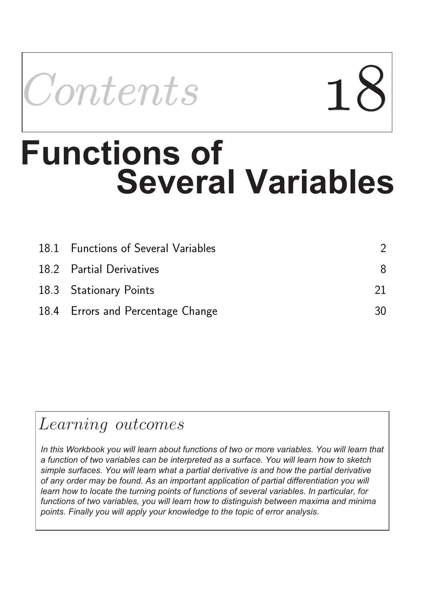

# **Several Variables Functions of**

| 18.1 Functions of Several Variables |    |
|-------------------------------------|----|
| 18.2 Partial Derivatives            | 8  |
| 18.3 Stationary Points              |    |
| 18.4 Errors and Percentage Change   | 30 |

### Learning outcomes

*In this Workbook you will learn about functions of two or more variables. You will learn that a function of two variables can be interpreted as a surface. You will learn how to sketch simple surfaces. You will learn what a partial derivative is and how the partial derivative of any order may be found. As an important application of partial differentiation you will learn how to locate the turning points of functions of several variables. In particular, for functions of two variables, you will learn how to distinguish between maxima and minima points. Finally you will apply your knowledge to the topic of error analysis.*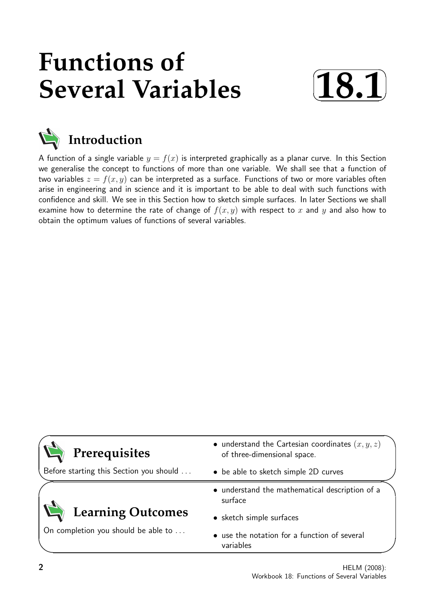## **Functions of Several Variables**





A function of a single variable  $y = f(x)$  is interpreted graphically as a planar curve. In this Section we generalise the concept to functions of more than one variable. We shall see that a function of two variables  $z = f(x, y)$  can be interpreted as a surface. Functions of two or more variables often arise in engineering and in science and it is important to be able to deal with such functions with confidence and skill. We see in this Section how to sketch simple surfaces. In later Sections we shall examine how to determine the rate of change of  $f(x, y)$  with respect to x and y and also how to obtain the optimum values of functions of several variables.

| • understand the Cartesian coordinates $(x, y, z)$<br>of three-dimensional space. |
|-----------------------------------------------------------------------------------|
| • be able to sketch simple 2D curves                                              |
| • understand the mathematical description of a<br>surface                         |
| • sketch simple surfaces                                                          |
| • use the notation for a function of several<br>variables                         |
|                                                                                   |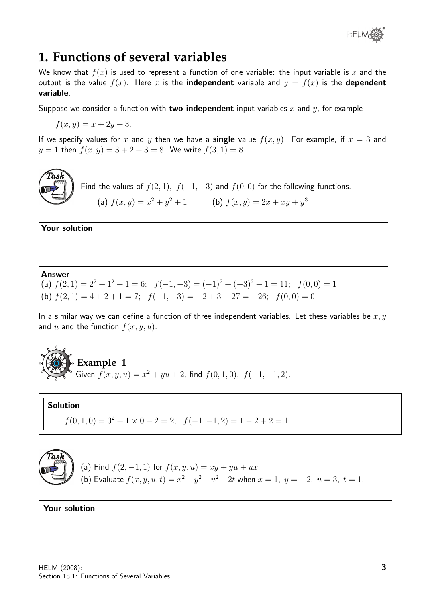

#### **1. Functions of several variables**

We know that  $f(x)$  is used to represent a function of one variable: the input variable is x and the output is the value  $f(x)$ . Here x is the **independent** variable and  $y = f(x)$  is the **dependent** variable.

Suppose we consider a function with two independent input variables x and  $y$ , for example

 $f(x, y) = x + 2y + 3.$ 

If we specify values for x and y then we have a **single** value  $f(x, y)$ . For example, if  $x = 3$  and  $y = 1$  then  $f(x, y) = 3 + 2 + 3 = 8$ . We write  $f(3, 1) = 8$ .



Find the values of  $f(2, 1)$ ,  $f(-1, -3)$  and  $f(0, 0)$  for the following functions. (a)  $f(x, y) = x^2 + y^2 + 1$  (b)  $f(x, y) = 2x + xy + y^3$ 

Your solution

Answer

(a)  $f(2, 1) = 2^2 + 1^2 + 1 = 6$ ;  $f(-1, -3) = (-1)^2 + (-3)^2 + 1 = 11$ ;  $f(0, 0) = 1$ (b)  $f(2, 1) = 4 + 2 + 1 = 7$ ;  $f(-1, -3) = -2 + 3 - 27 = -26$ ;  $f(0, 0) = 0$ 

In a similar way we can define a function of three independent variables. Let these variables be  $x, y$ and u and the function  $f(x, y, u)$ .



Solution

 $f(0, 1, 0) = 0^2 + 1 \times 0 + 2 = 2$ ;  $f(-1, -1, 2) = 1 - 2 + 2 = 1$ 



(a) Find  $f(2, -1, 1)$  for  $f(x, y, u) = xy + yu + ux$ . (b) Evaluate  $f(x, y, u, t) = x^2 - y^2 - u^2 - 2t$  when  $x = 1, y = -2, u = 3, t = 1$ .

#### Your solution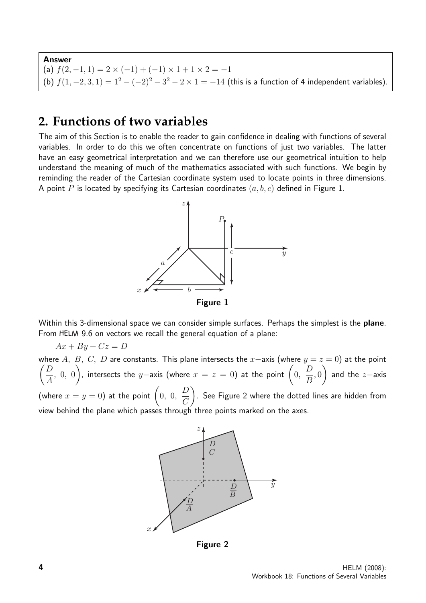Answer (a)  $f(2,-1,1) = 2 \times (-1) + (-1) \times 1 + 1 \times 2 = -1$ (b)  $f(1, -2, 3, 1) = 1^2 - (-2)^2 - 3^2 - 2 \times 1 = -14$  (this is a function of 4 independent variables).

#### **2. Functions of two variables**

The aim of this Section is to enable the reader to gain confidence in dealing with functions of several variables. In order to do this we often concentrate on functions of just two variables. The latter have an easy geometrical interpretation and we can therefore use our geometrical intuition to help understand the meaning of much of the mathematics associated with such functions. We begin by reminding the reader of the Cartesian coordinate system used to locate points in three dimensions. A point P is located by specifying its Cartesian coordinates  $(a, b, c)$  defined in Figure 1.



Within this 3-dimensional space we can consider simple surfaces. Perhaps the simplest is the **plane**. From HELM 9.6 on vectors we recall the general equation of a plane:

$$
Ax + By + Cz = D
$$

where A, B, C, D are constants. This plane intersects the x–axis (where  $y = z = 0$ ) at the point  $\bigcap$ A , 0, 0 ), intersects the y−axis (where  $x = z = 0$ ) at the point  $\Big(0, \Big)$ D B , 0  $\setminus$ and the z−axis (where  $x=y=0$ ) at the point  $\Big( \begin{matrix} 0, \ 0, \end{matrix} \Big)$  $\boldsymbol{D}$  $\mathcal{C}$  $\setminus$ . See Figure 2 where the dotted lines are hidden from view behind the plane which passes through three points marked on the axes.



Figure 2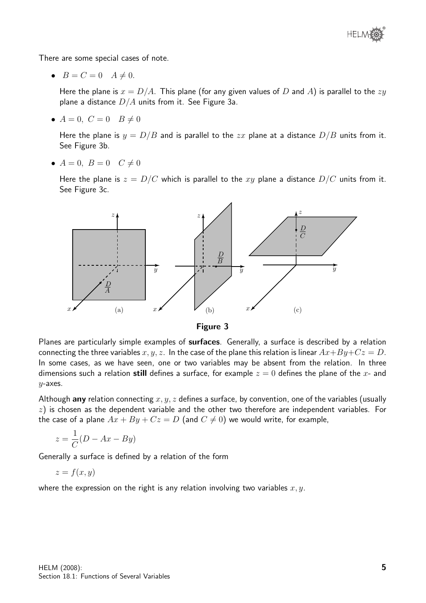

There are some special cases of note.

•  $B=C=0$   $A\neq 0$ .

Here the plane is  $x = D/A$ . This plane (for any given values of D and A) is parallel to the  $zy$ plane a distance  $D/A$  units from it. See Figure 3a.

•  $A = 0, C = 0$   $B \neq 0$ 

Here the plane is  $y = D/B$  and is parallel to the zx plane at a distance  $D/B$  units from it. See Figure 3b.

•  $A = 0, B = 0 \quad C \neq 0$ 

Here the plane is  $z = D/C$  which is parallel to the xy plane a distance  $D/C$  units from it. See Figure 3c.





Planes are particularly simple examples of surfaces. Generally, a surface is described by a relation connecting the three variables  $x, y, z$ . In the case of the plane this relation is linear  $Ax+By+Cz = D$ . In some cases, as we have seen, one or two variables may be absent from the relation. In three dimensions such a relation still defines a surface, for example  $z = 0$  defines the plane of the x- and  $y$ -axes.

Although any relation connecting  $x, y, z$  defines a surface, by convention, one of the variables (usually  $z$ ) is chosen as the dependent variable and the other two therefore are independent variables. For the case of a plane  $Ax + By + Cz = D$  (and  $C \neq 0$ ) we would write, for example,

$$
z = \frac{1}{C}(D - Ax - By)
$$

Generally a surface is defined by a relation of the form

$$
z = f(x, y)
$$

where the expression on the right is any relation involving two variables  $x, y$ .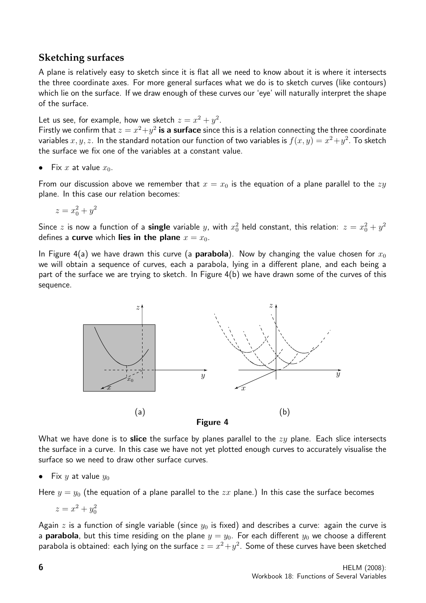#### **Sketching surfaces**

A plane is relatively easy to sketch since it is flat all we need to know about it is where it intersects the three coordinate axes. For more general surfaces what we do is to sketch curves (like contours) which lie on the surface. If we draw enough of these curves our 'eye' will naturally interpret the shape of the surface.

Let us see, for example, how we sketch  $z = x^2 + y^2$ .

Firstly we confirm that  $z = x^2 + y^2$  is a surface since this is a relation connecting the three coordinate variables  $x,y,z.$  In the standard notation our function of two variables is  $f(x,y)=x^2+y^2.$  To sketch the surface we fix one of the variables at a constant value.

Fix x at value  $x_0$ .

From our discussion above we remember that  $x = x_0$  is the equation of a plane parallel to the  $zy$ plane. In this case our relation becomes:

$$
z = x_0^2 + y^2
$$

Since  $z$  is now a function of a single variable  $y$ , with  $x_0^2$  held constant, this relation:  $z = x_0^2 + y^2$ defines a **curve** which **lies in the plane**  $x = x_0$ .

In Figure 4(a) we have drawn this curve (a **parabola**). Now by changing the value chosen for  $x_0$ we will obtain a sequence of curves, each a parabola, lying in a different plane, and each being a part of the surface we are trying to sketch. In Figure 4(b) we have drawn some of the curves of this sequence.



What we have done is to slice the surface by planes parallel to the  $zy$  plane. Each slice intersects the surface in a curve. In this case we have not yet plotted enough curves to accurately visualise the surface so we need to draw other surface curves.

• Fix y at value  $y_0$ 

Here  $y = y_0$  (the equation of a plane parallel to the zx plane.) In this case the surface becomes

$$
z = x^2 + y_0^2
$$

Again z is a function of single variable (since  $y_0$  is fixed) and describes a curve: again the curve is a **parabola**, but this time residing on the plane  $y = y_0$ . For each different  $y_0$  we choose a different parabola is obtained: each lying on the surface  $z = x^2 + y^2$ . Some of these curves have been sketched